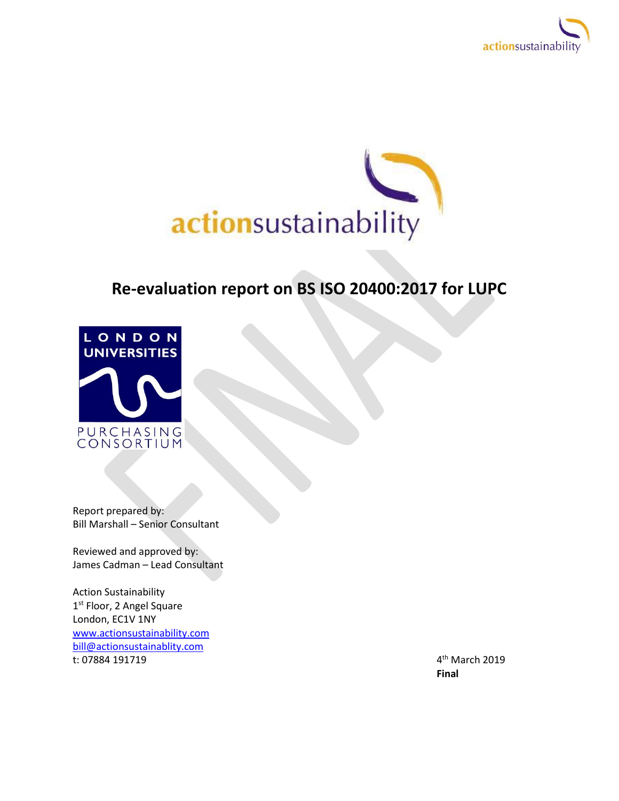



# **Re-evaluation report on BS ISO 20400:2017 for LUPC**



Report prepared by: Bill Marshall – Senior Consultant

Reviewed and approved by: James Cadman – Lead Consultant

Action Sustainability 1<sup>st</sup> Floor, 2 Angel Square London, EC1V 1NY [www.actionsustainability.com](http://www.actionsustainability.com/) [bill@actionsustainablity.com](mailto:bill@actionsustainablity.com) t: 07884 191719 4

4<sup>th</sup> March 2019 **Final**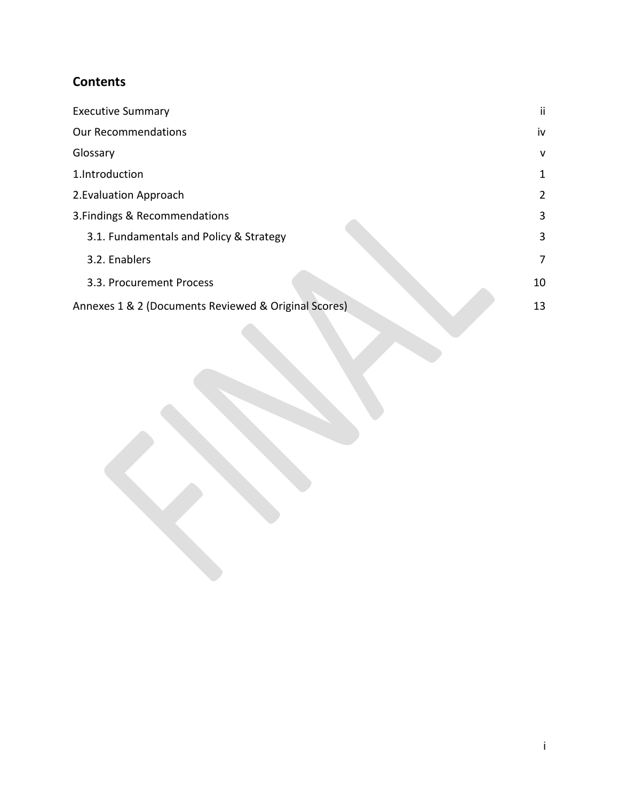# **Contents**

| <b>Executive Summary</b>                             | ij             |
|------------------------------------------------------|----------------|
| <b>Our Recommendations</b>                           | iv             |
| Glossary                                             | v              |
| 1.Introduction                                       | 1              |
| 2. Evaluation Approach                               | $\overline{2}$ |
| 3. Findings & Recommendations                        | 3              |
| 3.1. Fundamentals and Policy & Strategy              | 3              |
| 3.2. Enablers                                        | 7              |
| 3.3. Procurement Process                             | 10             |
| Annexes 1 & 2 (Documents Reviewed & Original Scores) | 13             |
|                                                      |                |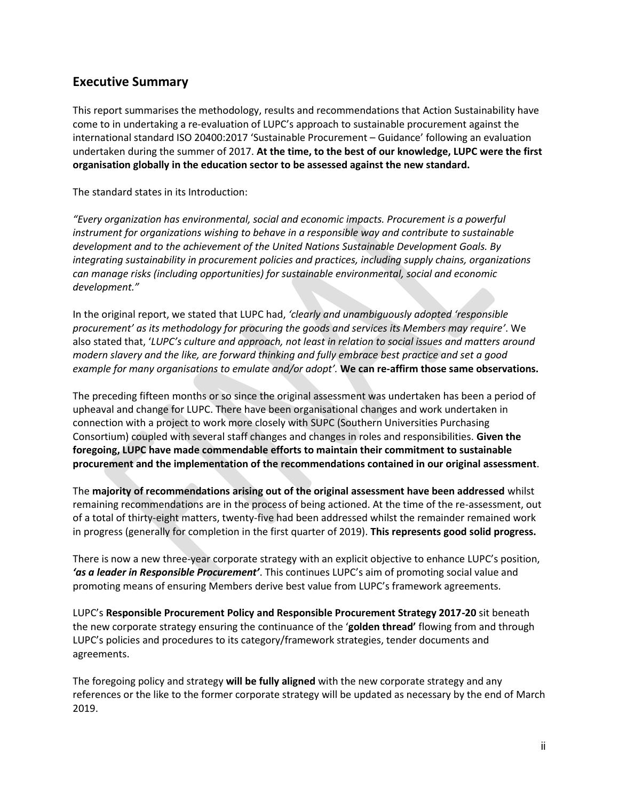## <span id="page-2-0"></span>**Executive Summary**

This report summarises the methodology, results and recommendations that Action Sustainability have come to in undertaking a re-evaluation of LUPC's approach to sustainable procurement against the international standard ISO 20400:2017 'Sustainable Procurement – Guidance' following an evaluation undertaken during the summer of 2017. **At the time, to the best of our knowledge, LUPC were the first organisation globally in the education sector to be assessed against the new standard.**

The standard states in its Introduction:

*"Every organization has environmental, social and economic impacts. Procurement is a powerful instrument for organizations wishing to behave in a responsible way and contribute to sustainable development and to the achievement of the United Nations Sustainable Development Goals. By integrating sustainability in procurement policies and practices, including supply chains, organizations can manage risks (including opportunities) for sustainable environmental, social and economic development."*

In the original report, we stated that LUPC had, *'clearly and unambiguously adopted 'responsible procurement' as its methodology for procuring the goods and services its Members may require'*. We also stated that, '*LUPC's culture and approach, not least in relation to social issues and matters around modern slavery and the like, are forward thinking and fully embrace best practice and set a good example for many organisations to emulate and/or adopt'.* **We can re-affirm those same observations.**

The preceding fifteen months or so since the original assessment was undertaken has been a period of upheaval and change for LUPC. There have been organisational changes and work undertaken in connection with a project to work more closely with SUPC (Southern Universities Purchasing Consortium) coupled with several staff changes and changes in roles and responsibilities. **Given the foregoing, LUPC have made commendable efforts to maintain their commitment to sustainable procurement and the implementation of the recommendations contained in our original assessment**.

The **majority of recommendations arising out of the original assessment have been addressed** whilst remaining recommendations are in the process of being actioned. At the time of the re-assessment, out of a total of thirty-eight matters, twenty-five had been addressed whilst the remainder remained work in progress (generally for completion in the first quarter of 2019). **This represents good solid progress.** 

There is now a new three-year corporate strategy with an explicit objective to enhance LUPC's position, *'as a leader in Responsible Procurement'*. This continues LUPC's aim of promoting social value and promoting means of ensuring Members derive best value from LUPC's framework agreements.

LUPC's **Responsible Procurement Policy and Responsible Procurement Strategy 2017-20** sit beneath the new corporate strategy ensuring the continuance of the '**golden thread'** flowing from and through LUPC's policies and procedures to its category/framework strategies, tender documents and agreements.

The foregoing policy and strategy **will be fully aligned** with the new corporate strategy and any references or the like to the former corporate strategy will be updated as necessary by the end of March 2019.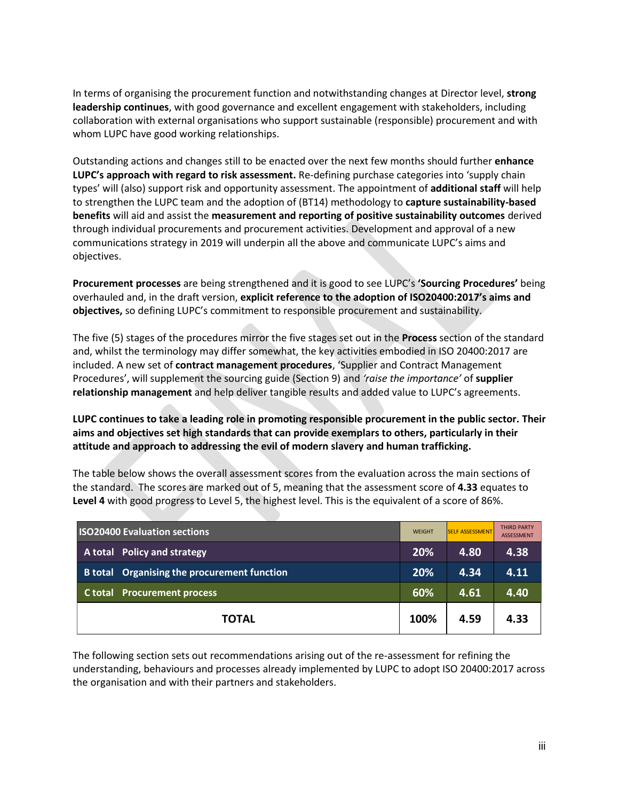In terms of organising the procurement function and notwithstanding changes at Director level, **strong leadership continues**, with good governance and excellent engagement with stakeholders, including collaboration with external organisations who support sustainable (responsible) procurement and with whom LUPC have good working relationships.

Outstanding actions and changes still to be enacted over the next few months should further **enhance LUPC's approach with regard to risk assessment.** Re-defining purchase categories into 'supply chain types' will (also) support risk and opportunity assessment. The appointment of **additional staff** will help to strengthen the LUPC team and the adoption of (BT14) methodology to **capture sustainability-based benefits** will aid and assist the **measurement and reporting of positive sustainability outcomes** derived through individual procurements and procurement activities. Development and approval of a new communications strategy in 2019 will underpin all the above and communicate LUPC's aims and objectives.

**Procurement processes** are being strengthened and it is good to see LUPC's **'Sourcing Procedures'** being overhauled and, in the draft version, **explicit reference to the adoption of ISO20400:2017's aims and objectives,** so defining LUPC's commitment to responsible procurement and sustainability.

The five (5) stages of the procedures mirror the five stages set out in the **Process** section of the standard and, whilst the terminology may differ somewhat, the key activities embodied in ISO 20400:2017 are included. A new set of **contract management procedures**, 'Supplier and Contract Management Procedures', will supplement the sourcing guide (Section 9) and *'raise the importance'* of **supplier relationship management** and help deliver tangible results and added value to LUPC's agreements.

**LUPC continues to take a leading role in promoting responsible procurement in the public sector. Their aims and objectives set high standards that can provide exemplars to others, particularly in their attitude and approach to addressing the evil of modern slavery and human trafficking.** 

The table below shows the overall assessment scores from the evaluation across the main sections of the standard. The scores are marked out of 5, meaning that the assessment score of **4.33** equates to **Level 4** with good progress to Level 5, the highest level. This is the equivalent of a score of 86%.

| <b>ISO20400 Evaluation sections</b>         | <b>WEIGHT</b> | <b>SELF ASSESSMENT</b> | <b>THIRD PARTY</b><br><b>ASSESSMENT</b> |
|---------------------------------------------|---------------|------------------------|-----------------------------------------|
| A total Policy and strategy                 | 20%           | 4.80                   | 4.38                                    |
| B total Organising the procurement function | 20%           | 4.34                   | 4.11                                    |
| <b>Procurement process</b><br>C total       | 60%           | 4.61                   | 4.40                                    |
| <b>TOTAL</b>                                | 100%          | 4.59                   | 4.33                                    |

The following section sets out recommendations arising out of the re-assessment for refining the understanding, behaviours and processes already implemented by LUPC to adopt ISO 20400:2017 across the organisation and with their partners and stakeholders.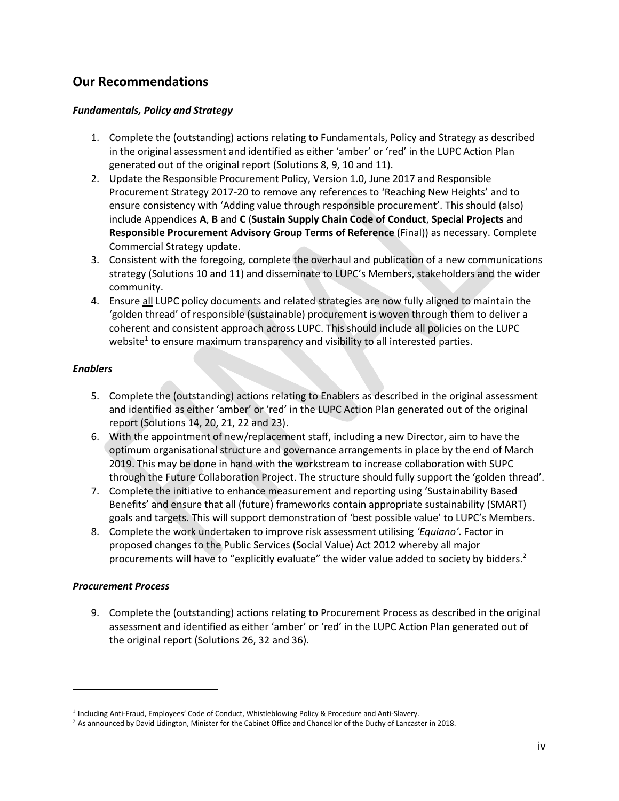# <span id="page-4-0"></span>**Our Recommendations**

### *Fundamentals, Policy and Strategy*

- 1. Complete the (outstanding) actions relating to Fundamentals, Policy and Strategy as described in the original assessment and identified as either 'amber' or 'red' in the LUPC Action Plan generated out of the original report (Solutions 8, 9, 10 and 11).
- 2. Update the Responsible Procurement Policy, Version 1.0, June 2017 and Responsible Procurement Strategy 2017-20 to remove any references to 'Reaching New Heights' and to ensure consistency with 'Adding value through responsible procurement'. This should (also) include Appendices **A**, **B** and **C** (**Sustain Supply Chain Code of Conduct**, **Special Projects** and **Responsible Procurement Advisory Group Terms of Reference** (Final)) as necessary. Complete Commercial Strategy update.
- 3. Consistent with the foregoing, complete the overhaul and publication of a new communications strategy (Solutions 10 and 11) and disseminate to LUPC's Members, stakeholders and the wider community.
- 4. Ensure all LUPC policy documents and related strategies are now fully aligned to maintain the 'golden thread' of responsible (sustainable) procurement is woven through them to deliver a coherent and consistent approach across LUPC. This should include all policies on the LUPC website<sup>1</sup> to ensure maximum transparency and visibility to all interested parties.

#### *Enablers*

- 5. Complete the (outstanding) actions relating to Enablers as described in the original assessment and identified as either 'amber' or 'red' in the LUPC Action Plan generated out of the original report (Solutions 14, 20, 21, 22 and 23).
- 6. With the appointment of new/replacement staff, including a new Director, aim to have the optimum organisational structure and governance arrangements in place by the end of March 2019. This may be done in hand with the workstream to increase collaboration with SUPC through the Future Collaboration Project. The structure should fully support the 'golden thread'.
- 7. Complete the initiative to enhance measurement and reporting using 'Sustainability Based Benefits' and ensure that all (future) frameworks contain appropriate sustainability (SMART) goals and targets. This will support demonstration of 'best possible value' to LUPC's Members.
- 8. Complete the work undertaken to improve risk assessment utilising *'Equiano'*. Factor in proposed changes to the Public Services (Social Value) Act 2012 whereby all major procurements will have to "explicitly evaluate" the wider value added to society by bidders.<sup>2</sup>

### *Procurement Process*

 $\overline{\phantom{a}}$ 

9. Complete the (outstanding) actions relating to Procurement Process as described in the original assessment and identified as either 'amber' or 'red' in the LUPC Action Plan generated out of the original report (Solutions 26, 32 and 36).

<sup>&</sup>lt;sup>1</sup> Including Anti-Fraud, Employees' Code of Conduct, Whistleblowing Policy & Procedure and Anti-Slavery.

 $2$  As announced by David Lidington, Minister for the Cabinet Office and Chancellor of the Duchy of Lancaster in 2018.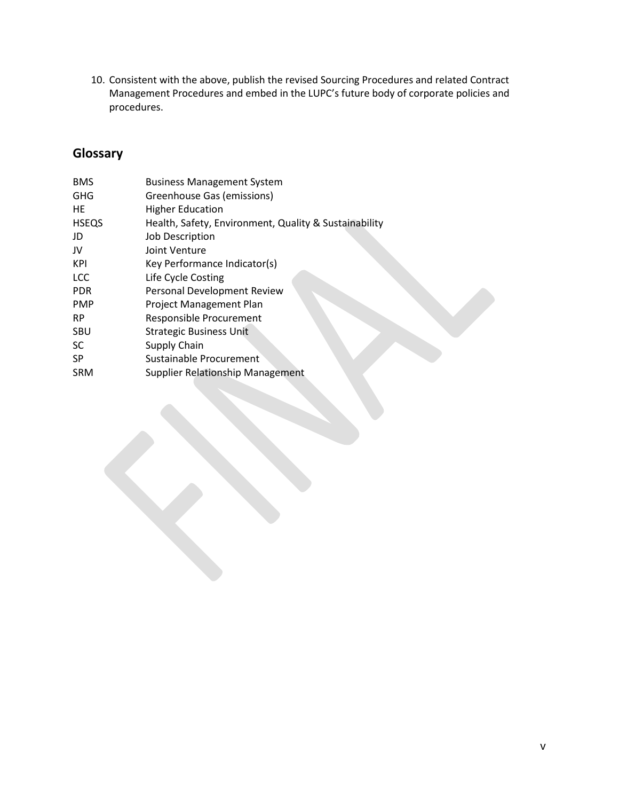10. Consistent with the above, publish the revised Sourcing Procedures and related Contract Management Procedures and embed in the LUPC's future body of corporate policies and procedures.

# <span id="page-5-0"></span>**Glossary**

| <b>BMS</b>   | <b>Business Management System</b>                     |
|--------------|-------------------------------------------------------|
| <b>GHG</b>   | Greenhouse Gas (emissions)                            |
| HE.          | <b>Higher Education</b>                               |
| <b>HSEQS</b> | Health, Safety, Environment, Quality & Sustainability |
| JD           | Job Description                                       |
| JV           | Joint Venture                                         |
| KPI          | Key Performance Indicator(s)                          |
| <b>LCC</b>   | Life Cycle Costing                                    |
| <b>PDR</b>   | Personal Development Review                           |
| <b>PMP</b>   | Project Management Plan                               |
| <b>RP</b>    | <b>Responsible Procurement</b>                        |
| SBU          | <b>Strategic Business Unit</b>                        |
| <b>SC</b>    | Supply Chain                                          |
| <b>SP</b>    | Sustainable Procurement                               |
| <b>SRM</b>   | <b>Supplier Relationship Management</b>               |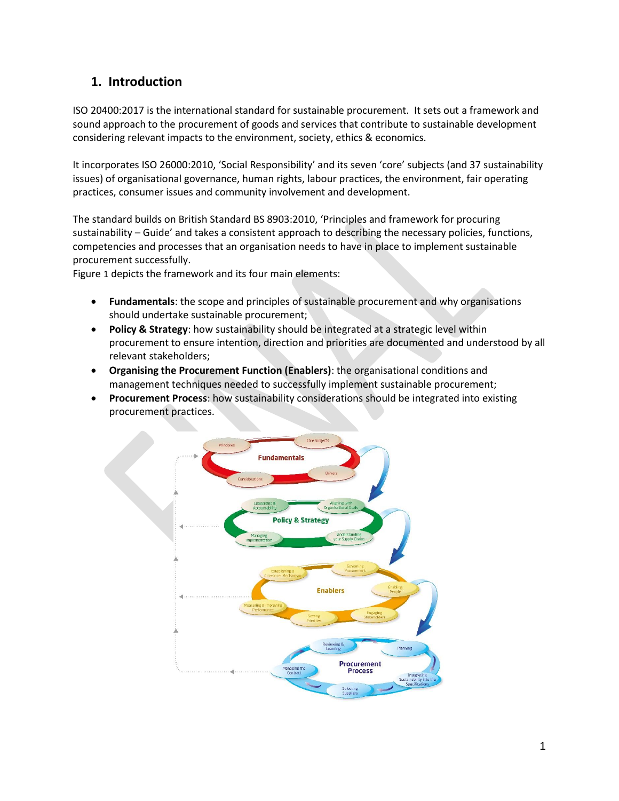# <span id="page-6-0"></span>**1. Introduction**

ISO 20400:2017 is the international standard for sustainable procurement. It sets out a framework and sound approach to the procurement of goods and services that contribute to sustainable development considering relevant impacts to the environment, society, ethics & economics.

It incorporates ISO 26000:2010, 'Social Responsibility' and its seven 'core' subjects (and 37 sustainability issues) of organisational governance, human rights, labour practices, the environment, fair operating practices, consumer issues and community involvement and development.

The standard builds on British Standard BS 8903:2010, 'Principles and framework for procuring sustainability – Guide' and takes a consistent approach to describing the necessary policies, functions, competencies and processes that an organisation needs to have in place to implement sustainable procurement successfully.

[Figure](#page-6-1) 1 depicts the framework and its four main elements:

- **Fundamentals**: the scope and principles of sustainable procurement and why organisations should undertake sustainable procurement;
- **Policy & Strategy**: how sustainability should be integrated at a strategic level within procurement to ensure intention, direction and priorities are documented and understood by all relevant stakeholders;
- **Organising the Procurement Function (Enablers)**: the organisational conditions and management techniques needed to successfully implement sustainable procurement;
- **Procurement Process**: how sustainability considerations should be integrated into existing procurement practices.

<span id="page-6-1"></span>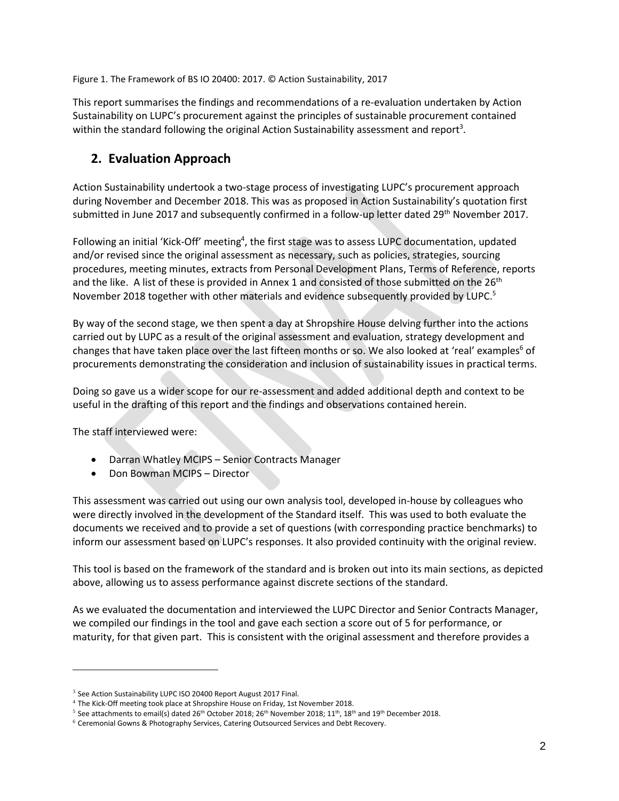Figure 1. The Framework of BS IO 20400: 2017. © Action Sustainability, 2017

This report summarises the findings and recommendations of a re-evaluation undertaken by Action Sustainability on LUPC's procurement against the principles of sustainable procurement contained within the standard following the original Action Sustainability assessment and report<sup>3</sup>.

# <span id="page-7-0"></span>**2. Evaluation Approach**

Action Sustainability undertook a two-stage process of investigating LUPC's procurement approach during November and December 2018. This was as proposed in Action Sustainability's quotation first submitted in June 2017 and subsequently confirmed in a follow-up letter dated 29<sup>th</sup> November 2017.

Following an initial 'Kick-Off' meeting<sup>4</sup>, the first stage was to assess LUPC documentation, updated and/or revised since the original assessment as necessary, such as policies, strategies, sourcing procedures, meeting minutes, extracts from Personal Development Plans, Terms of Reference, reports and the like. A list of these is provided in Annex 1 and consisted of those submitted on the 26<sup>th</sup> November 2018 together with other materials and evidence subsequently provided by LUPC.<sup>5</sup>

By way of the second stage, we then spent a day at Shropshire House delving further into the actions carried out by LUPC as a result of the original assessment and evaluation, strategy development and changes that have taken place over the last fifteen months or so. We also looked at 'real' examples<sup>6</sup> of procurements demonstrating the consideration and inclusion of sustainability issues in practical terms.

Doing so gave us a wider scope for our re-assessment and added additional depth and context to be useful in the drafting of this report and the findings and observations contained herein.

The staff interviewed were:

 $\overline{\phantom{a}}$ 

- Darran Whatley MCIPS Senior Contracts Manager
- Don Bowman MCIPS Director

This assessment was carried out using our own analysis tool, developed in-house by colleagues who were directly involved in the development of the Standard itself. This was used to both evaluate the documents we received and to provide a set of questions (with corresponding practice benchmarks) to inform our assessment based on LUPC's responses. It also provided continuity with the original review.

This tool is based on the framework of the standard and is broken out into its main sections, as depicted above, allowing us to assess performance against discrete sections of the standard.

As we evaluated the documentation and interviewed the LUPC Director and Senior Contracts Manager, we compiled our findings in the tool and gave each section a score out of 5 for performance, or maturity, for that given part. This is consistent with the original assessment and therefore provides a

<sup>&</sup>lt;sup>3</sup> See Action Sustainability LUPC ISO 20400 Report August 2017 Final.

<sup>&</sup>lt;sup>4</sup> The Kick-Off meeting took place at Shropshire House on Friday, 1st November 2018.

 $^5$  See attachments to email(s) dated 26<sup>th</sup> October 2018; 26<sup>th</sup> November 2018; 11<sup>th</sup>, 18<sup>th</sup> and 19<sup>th</sup> December 2018.

<sup>6</sup> Ceremonial Gowns & Photography Services, Catering Outsourced Services and Debt Recovery.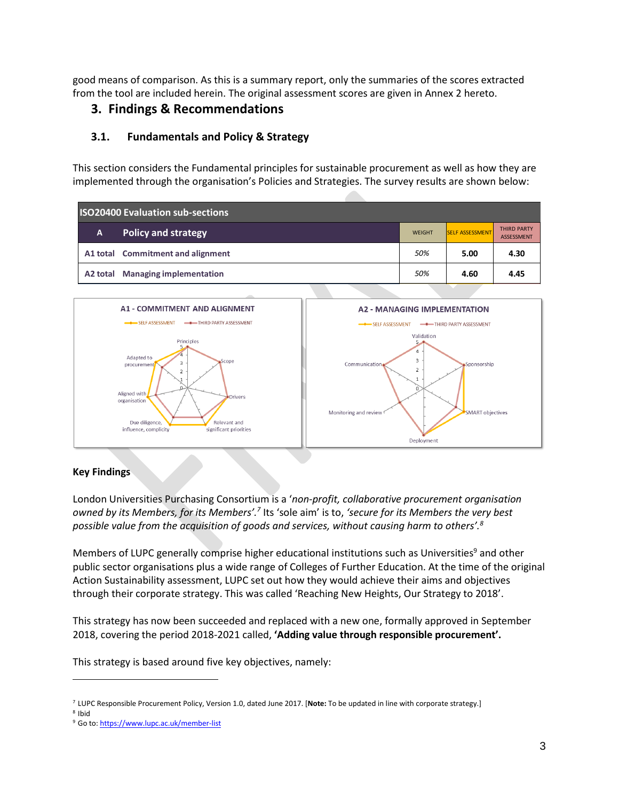good means of comparison. As this is a summary report, only the summaries of the scores extracted from the tool are included herein. The original assessment scores are given in Annex 2 hereto.

## <span id="page-8-0"></span>**3. Findings & Recommendations**

## <span id="page-8-1"></span>**3.1. Fundamentals and Policy & Strategy**

This section considers the Fundamental principles for sustainable procurement as well as how they are implemented through the organisation's Policies and Strategies. The survey results are shown below:

| <b>ISO20400 Evaluation sub-sections</b> |                                   |               |                        |                                         |
|-----------------------------------------|-----------------------------------|---------------|------------------------|-----------------------------------------|
| A.                                      | <b>Policy and strategy</b>        | <b>WEIGHT</b> | <b>SELF ASSESSMENT</b> | <b>THIRD PARTY</b><br><b>ASSESSMENT</b> |
|                                         | A1 total Commitment and alignment | 50%           | 5.00                   | 4.30                                    |
| A2 total                                | <b>Managing implementation</b>    | 50%           | 4.60                   | 4.45                                    |



## **Key Findings**

London Universities Purchasing Consortium is a '*non-profit, collaborative procurement organisation*  owned by its Members, for its Members'.<sup>7</sup> Its 'sole aim' is to, 'secure for its Members the very best *possible value from the acquisition of goods and services, without causing harm to others'.<sup>8</sup>*

Members of LUPC generally comprise higher educational institutions such as Universities<sup>9</sup> and other public sector organisations plus a wide range of Colleges of Further Education. At the time of the original Action Sustainability assessment, LUPC set out how they would achieve their aims and objectives through their corporate strategy. This was called 'Reaching New Heights, Our Strategy to 2018'.

This strategy has now been succeeded and replaced with a new one, formally approved in September 2018, covering the period 2018-2021 called, **'Adding value through responsible procurement'.**

This strategy is based around five key objectives, namely:

<sup>7</sup> LUPC Responsible Procurement Policy, Version 1.0, dated June 2017. [**Note:** To be updated in line with corporate strategy.]

<sup>8</sup> Ibid

<sup>9</sup> Go to[: https://www.lupc.ac.uk/member-list](https://www.lupc.ac.uk/member-list)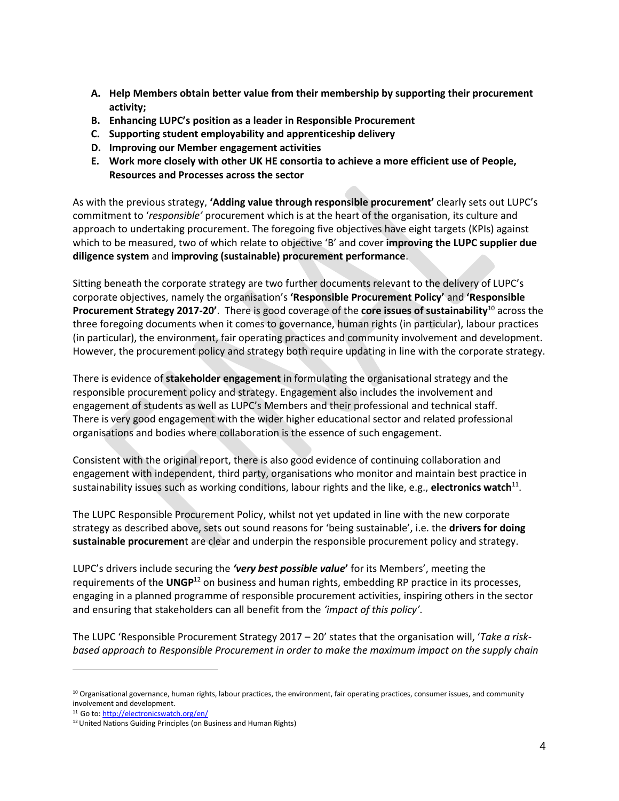- **A. Help Members obtain better value from their membership by supporting their procurement activity;**
- **B. Enhancing LUPC's position as a leader in Responsible Procurement**
- **C. Supporting student employability and apprenticeship delivery**
- **D. Improving our Member engagement activities**
- **E. Work more closely with other UK HE consortia to achieve a more efficient use of People, Resources and Processes across the sector**

As with the previous strategy, **'Adding value through responsible procurement'** clearly sets out LUPC's commitment to '*responsible'* procurement which is at the heart of the organisation, its culture and approach to undertaking procurement. The foregoing five objectives have eight targets (KPIs) against which to be measured, two of which relate to objective 'B' and cover **improving the LUPC supplier due diligence system** and **improving (sustainable) procurement performance**.

Sitting beneath the corporate strategy are two further documents relevant to the delivery of LUPC's corporate objectives, namely the organisation's **'Responsible Procurement Policy'** and **'Responsible Procurement Strategy 2017-20'**. There is good coverage of the **core issues of sustainability**<sup>10</sup> across the three foregoing documents when it comes to governance, human rights (in particular), labour practices (in particular), the environment, fair operating practices and community involvement and development. However, the procurement policy and strategy both require updating in line with the corporate strategy.

There is evidence of **stakeholder engagement** in formulating the organisational strategy and the responsible procurement policy and strategy. Engagement also includes the involvement and engagement of students as well as LUPC's Members and their professional and technical staff. There is very good engagement with the wider higher educational sector and related professional organisations and bodies where collaboration is the essence of such engagement.

Consistent with the original report, there is also good evidence of continuing collaboration and engagement with independent, third party, organisations who monitor and maintain best practice in sustainability issues such as working conditions, labour rights and the like, e.g., **electronics watch**<sup>11</sup>.

The LUPC Responsible Procurement Policy, whilst not yet updated in line with the new corporate strategy as described above, sets out sound reasons for 'being sustainable', i.e. the **drivers for doing sustainable procuremen**t are clear and underpin the responsible procurement policy and strategy.

LUPC's drivers include securing the *'very best possible value***'** for its Members', meeting the requirements of the **UNGP**<sup>12</sup> on business and human rights, embedding RP practice in its processes, engaging in a planned programme of responsible procurement activities, inspiring others in the sector and ensuring that stakeholders can all benefit from the *'impact of this policy'*.

The LUPC 'Responsible Procurement Strategy 2017 – 20' states that the organisation will, '*Take a riskbased approach to Responsible Procurement in order to make the maximum impact on the supply chain*

<sup>&</sup>lt;sup>10</sup> Organisational governance, human rights, labour practices, the environment, fair operating practices, consumer issues, and community involvement and development.

<sup>11</sup> Go to[: http://electronicswatch.org/en/](http://electronicswatch.org/en/)

<sup>&</sup>lt;sup>12</sup> United Nations Guiding Principles (on Business and Human Rights)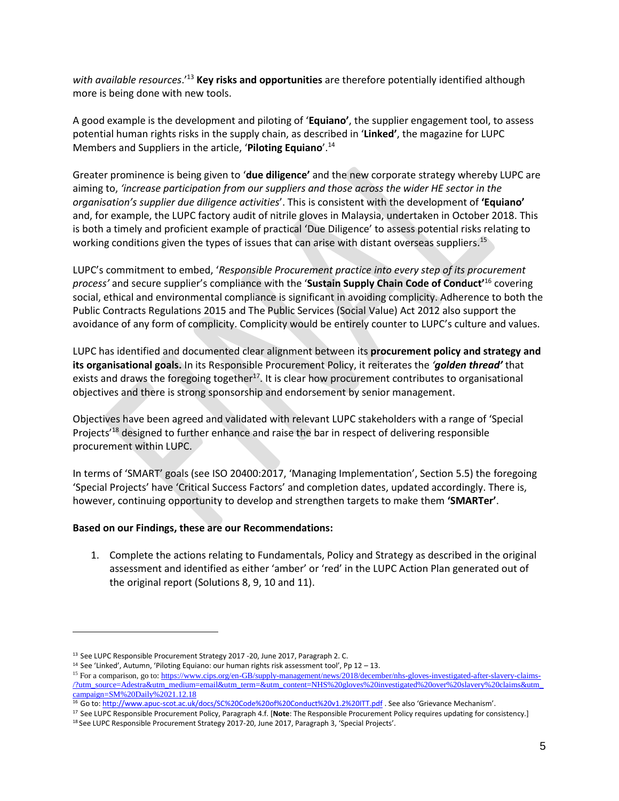*with available resources*.'<sup>13</sup> **Key risks and opportunities** are therefore potentially identified although more is being done with new tools.

A good example is the development and piloting of '**Equiano'**, the supplier engagement tool, to assess potential human rights risks in the supply chain, as described in '**Linked'**, the magazine for LUPC Members and Suppliers in the article, '**Piloting Equiano**'.<sup>14</sup>

Greater prominence is being given to '**due diligence'** and the new corporate strategy whereby LUPC are aiming to, *'increase participation from our suppliers and those across the wider HE sector in the organisation's supplier due diligence activities*'. This is consistent with the development of **'Equiano'** and, for example, the LUPC factory audit of nitrile gloves in Malaysia, undertaken in October 2018. This is both a timely and proficient example of practical 'Due Diligence' to assess potential risks relating to working conditions given the types of issues that can arise with distant overseas suppliers.<sup>15</sup>

LUPC's commitment to embed, '*Responsible Procurement practice into every step of its procurement process'* and secure supplier's compliance with the '**Sustain Supply Chain Code of Conduct'**<sup>16</sup> covering social, ethical and environmental compliance is significant in avoiding complicity. Adherence to both the Public Contracts Regulations 2015 and The Public Services (Social Value) Act 2012 also support the avoidance of any form of complicity. Complicity would be entirely counter to LUPC's culture and values.

LUPC has identified and documented clear alignment between its **procurement policy and strategy and its organisational goals.** In its Responsible Procurement Policy, it reiterates the *'golden thread'* that exists and draws the foregoing together<sup>17</sup>. It is clear how procurement contributes to organisational objectives and there is strong sponsorship and endorsement by senior management.

Objectives have been agreed and validated with relevant LUPC stakeholders with a range of 'Special Projects<sup>'18</sup> designed to further enhance and raise the bar in respect of delivering responsible procurement within LUPC.

In terms of 'SMART' goals (see ISO 20400:2017, 'Managing Implementation', Section 5.5) the foregoing 'Special Projects' have 'Critical Success Factors' and completion dates, updated accordingly. There is, however, continuing opportunity to develop and strengthen targets to make them **'SMARTer'**.

#### **Based on our Findings, these are our Recommendations:**

1. Complete the actions relating to Fundamentals, Policy and Strategy as described in the original assessment and identified as either 'amber' or 'red' in the LUPC Action Plan generated out of the original report (Solutions 8, 9, 10 and 11).

<sup>&</sup>lt;sup>13</sup> See LUPC Responsible Procurement Strategy 2017 -20, June 2017, Paragraph 2. C.

<sup>&</sup>lt;sup>14</sup> See 'Linked', Autumn, 'Piloting Equiano: our human rights risk assessment tool', Pp 12 - 13.

<sup>&</sup>lt;sup>15</sup> For a comparison, go to[: https://www.cips.org/en-GB/supply-management/news/2018/december/nhs-gloves-investigated-after-slavery-claims-](https://www.cips.org/en-GB/supply-management/news/2018/december/nhs-gloves-investigated-after-slavery-claims-/?utm_source=Adestra&utm_medium=email&utm_term=&utm_content=NHS%20gloves%20investigated%20over%20slavery%20claims&utm_campaign=SM%20Daily%2021.12.18) [/?utm\\_source=Adestra&utm\\_medium=email&utm\\_term=&utm\\_content=NHS%20gloves%20investigated%20over%20slavery%20claims&utm\\_](https://www.cips.org/en-GB/supply-management/news/2018/december/nhs-gloves-investigated-after-slavery-claims-/?utm_source=Adestra&utm_medium=email&utm_term=&utm_content=NHS%20gloves%20investigated%20over%20slavery%20claims&utm_campaign=SM%20Daily%2021.12.18) [campaign=SM%20Daily%2021.12.18](https://www.cips.org/en-GB/supply-management/news/2018/december/nhs-gloves-investigated-after-slavery-claims-/?utm_source=Adestra&utm_medium=email&utm_term=&utm_content=NHS%20gloves%20investigated%20over%20slavery%20claims&utm_campaign=SM%20Daily%2021.12.18)

<sup>16</sup> Go to[: http://www.apuc-scot.ac.uk/docs/SC%20Code%20of%20Conduct%20v1.2%20ITT.pdf](http://www.apuc-scot.ac.uk/docs/SC%20Code%20of%20Conduct%20v1.2%20ITT.pdf) . See also 'Grievance Mechanism'.

<sup>17</sup> See LUPC Responsible Procurement Policy, Paragraph 4.f. [**Note**: The Responsible Procurement Policy requires updating for consistency.] <sup>18</sup> See LUPC Responsible Procurement Strategy 2017-20, June 2017, Paragraph 3, 'Special Projects'.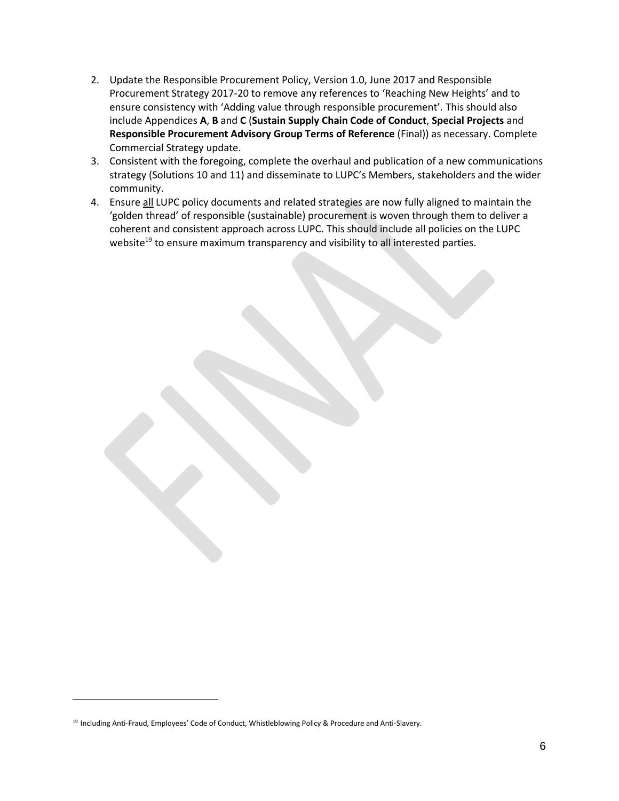- 2. Update the Responsible Procurement Policy, Version 1.0, June 2017 and Responsible Procurement Strategy 2017-20 to remove any references to 'Reaching New Heights' and to ensure consistency with 'Adding value through responsible procurement'. This should also include Appendices **A**, **B** and **C** (**Sustain Supply Chain Code of Conduct**, **Special Projects** and **Responsible Procurement Advisory Group Terms of Reference** (Final)) as necessary. Complete Commercial Strategy update.
- 3. Consistent with the foregoing, complete the overhaul and publication of a new communications strategy (Solutions 10 and 11) and disseminate to LUPC's Members, stakeholders and the wider community.
- 4. Ensure all LUPC policy documents and related strategies are now fully aligned to maintain the 'golden thread' of responsible (sustainable) procurement is woven through them to deliver a coherent and consistent approach across LUPC. This should include all policies on the LUPC website<sup>19</sup> to ensure maximum transparency and visibility to all interested parties.

<sup>&</sup>lt;sup>19</sup> Including Anti-Fraud, Employees' Code of Conduct, Whistleblowing Policy & Procedure and Anti-Slavery.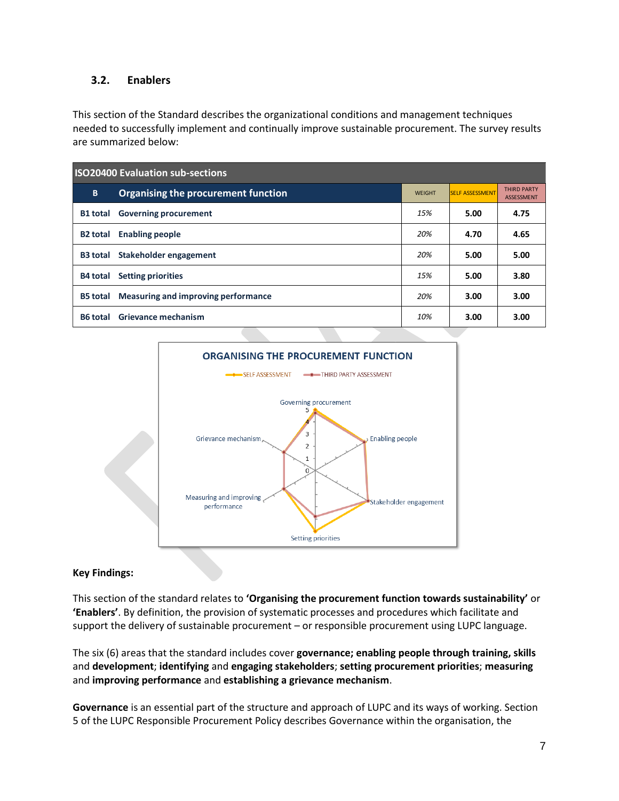## <span id="page-12-0"></span>**3.2. Enablers**

This section of the Standard describes the organizational conditions and management techniques needed to successfully implement and continually improve sustainable procurement. The survey results are summarized below:

| <b>ISO20400 Evaluation sub-sections</b> |                                     |               |                        |                                         |
|-----------------------------------------|-------------------------------------|---------------|------------------------|-----------------------------------------|
| B                                       | Organising the procurement function | <b>WEIGHT</b> | <b>SELF ASSESSMENT</b> | <b>THIRD PARTY</b><br><b>ASSESSMENT</b> |
| <b>B1</b> total                         | <b>Governing procurement</b>        | 15%           | 5.00                   | 4.75                                    |
| <b>B2 total</b>                         | <b>Enabling people</b>              | 20%           | 4.70                   | 4.65                                    |
| <b>B3 total</b>                         | Stakeholder engagement              | 20%           | 5.00                   | 5.00                                    |
| B4 total                                | <b>Setting priorities</b>           | 15%           | 5.00                   | 3.80                                    |
| <b>B5 total</b>                         | Measuring and improving performance | 20%           | 3.00                   | 3.00                                    |
| <b>B6</b> total                         | Grievance mechanism                 | 10%           | 3.00                   | 3.00                                    |



### **Key Findings:**

This section of the standard relates to **'Organising the procurement function towards sustainability'** or **'Enablers'**. By definition, the provision of systematic processes and procedures which facilitate and support the delivery of sustainable procurement – or responsible procurement using LUPC language.

The six (6) areas that the standard includes cover **governance; enabling people through training, skills** and **development**; **identifying** and **engaging stakeholders**; **setting procurement priorities**; **measuring** and **improving performance** and **establishing a grievance mechanism**.

**Governance** is an essential part of the structure and approach of LUPC and its ways of working. Section 5 of the LUPC Responsible Procurement Policy describes Governance within the organisation, the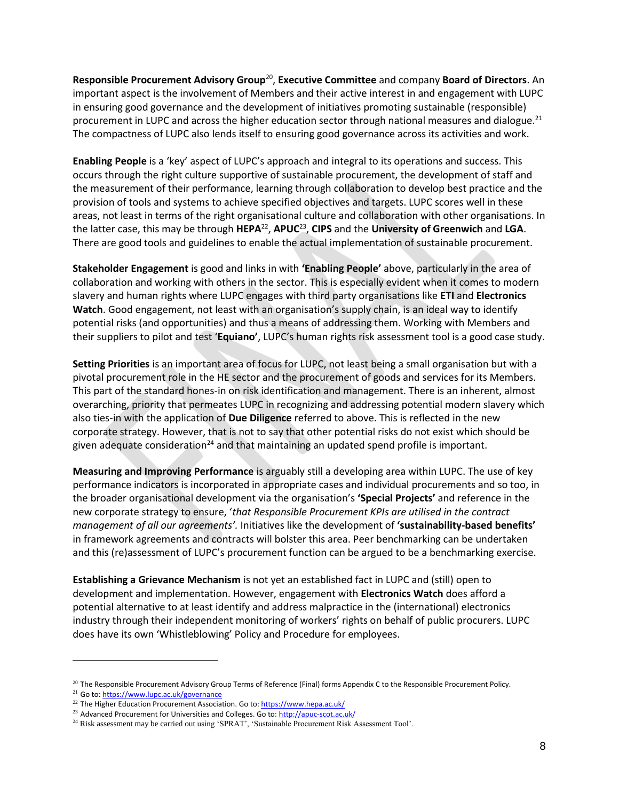**Responsible Procurement Advisory Group**<sup>20</sup> , **Executive Committee** and company **Board of Directors**. An important aspect is the involvement of Members and their active interest in and engagement with LUPC in ensuring good governance and the development of initiatives promoting sustainable (responsible) procurement in LUPC and across the higher education sector through national measures and dialogue.<sup>21</sup> The compactness of LUPC also lends itself to ensuring good governance across its activities and work.

**Enabling People** is a 'key' aspect of LUPC's approach and integral to its operations and success. This occurs through the right culture supportive of sustainable procurement, the development of staff and the measurement of their performance, learning through collaboration to develop best practice and the provision of tools and systems to achieve specified objectives and targets. LUPC scores well in these areas, not least in terms of the right organisational culture and collaboration with other organisations. In the latter case, this may be through **HEPA**<sup>22</sup> , **APUC**<sup>23</sup> , **CIPS** and the **University of Greenwich** and **LGA**. There are good tools and guidelines to enable the actual implementation of sustainable procurement.

**Stakeholder Engagement** is good and links in with **'Enabling People'** above, particularly in the area of collaboration and working with others in the sector. This is especially evident when it comes to modern slavery and human rights where LUPC engages with third party organisations like **ETI** and **Electronics Watch**. Good engagement, not least with an organisation's supply chain, is an ideal way to identify potential risks (and opportunities) and thus a means of addressing them. Working with Members and their suppliers to pilot and test '**Equiano'**, LUPC's human rights risk assessment tool is a good case study.

**Setting Priorities** is an important area of focus for LUPC, not least being a small organisation but with a pivotal procurement role in the HE sector and the procurement of goods and services for its Members. This part of the standard hones-in on risk identification and management. There is an inherent, almost overarching, priority that permeates LUPC in recognizing and addressing potential modern slavery which also ties-in with the application of **Due Diligence** referred to above. This is reflected in the new corporate strategy. However, that is not to say that other potential risks do not exist which should be given adequate consideration<sup>24</sup> and that maintaining an updated spend profile is important.

**Measuring and Improving Performance** is arguably still a developing area within LUPC. The use of key performance indicators is incorporated in appropriate cases and individual procurements and so too, in the broader organisational development via the organisation's **'Special Projects'** and reference in the new corporate strategy to ensure, '*that Responsible Procurement KPIs are utilised in the contract management of all our agreements'.* Initiatives like the development of **'sustainability-based benefits'** in framework agreements and contracts will bolster this area. Peer benchmarking can be undertaken and this (re)assessment of LUPC's procurement function can be argued to be a benchmarking exercise.

**Establishing a Grievance Mechanism** is not yet an established fact in LUPC and (still) open to development and implementation. However, engagement with **Electronics Watch** does afford a potential alternative to at least identify and address malpractice in the (international) electronics industry through their independent monitoring of workers' rights on behalf of public procurers. LUPC does have its own 'Whistleblowing' Policy and Procedure for employees.

 $\overline{a}$ 

 $^{20}$  The Responsible Procurement Advisory Group Terms of Reference (Final) forms Appendix C to the Responsible Procurement Policy.

<sup>&</sup>lt;sup>21</sup> Go to[: https://www.lupc.ac.uk/governance](https://www.lupc.ac.uk/governance)

<sup>&</sup>lt;sup>22</sup> The Higher Education Procurement Association. Go to[: https://www.hepa.ac.uk/](https://www.hepa.ac.uk/)

<sup>&</sup>lt;sup>23</sup> Advanced Procurement for Universities and Colleges. Go to[: http://apuc-scot.ac.uk/](http://apuc-scot.ac.uk/)

<sup>&</sup>lt;sup>24</sup> Risk assessment may be carried out using 'SPRAT', 'Sustainable Procurement Risk Assessment Tool'.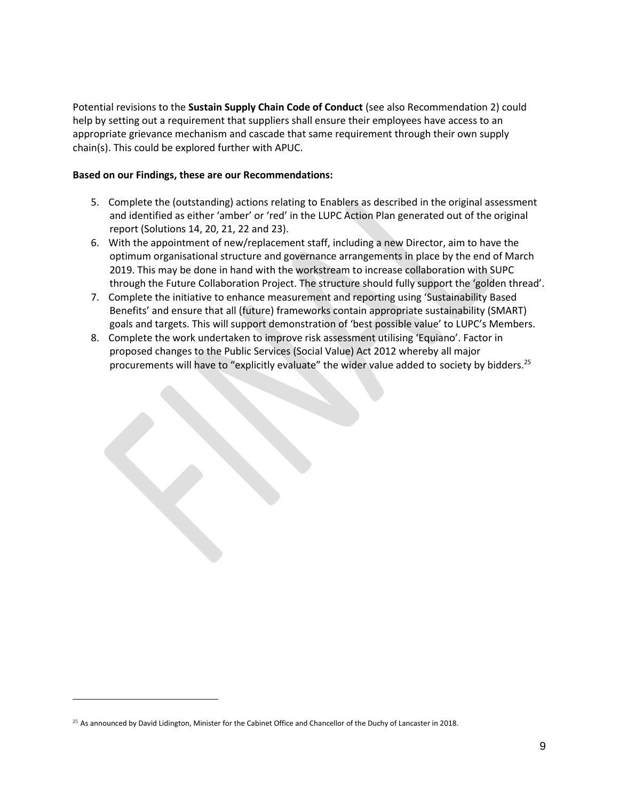Potential revisions to the **Sustain Supply Chain Code of Conduct** (see also Recommendation 2) could help by setting out a requirement that suppliers shall ensure their employees have access to an appropriate grievance mechanism and cascade that same requirement through their own supply chain(s). This could be explored further with APUC.

#### **Based on our Findings, these are our Recommendations:**

- 5. Complete the (outstanding) actions relating to Enablers as described in the original assessment and identified as either 'amber' or 'red' in the LUPC Action Plan generated out of the original report (Solutions 14, 20, 21, 22 and 23).
- 6. With the appointment of new/replacement staff, including a new Director, aim to have the optimum organisational structure and governance arrangements in place by the end of March 2019. This may be done in hand with the workstream to increase collaboration with SUPC through the Future Collaboration Project. The structure should fully support the 'golden thread'.
- 7. Complete the initiative to enhance measurement and reporting using 'Sustainability Based Benefits' and ensure that all (future) frameworks contain appropriate sustainability (SMART) goals and targets. This will support demonstration of 'best possible value' to LUPC's Members.
- 8. Complete the work undertaken to improve risk assessment utilising 'Equiano'. Factor in proposed changes to the Public Services (Social Value) Act 2012 whereby all major procurements will have to "explicitly evaluate" the wider value added to society by bidders.<sup>25</sup>

 $25$  As announced by David Lidington, Minister for the Cabinet Office and Chancellor of the Duchy of Lancaster in 2018.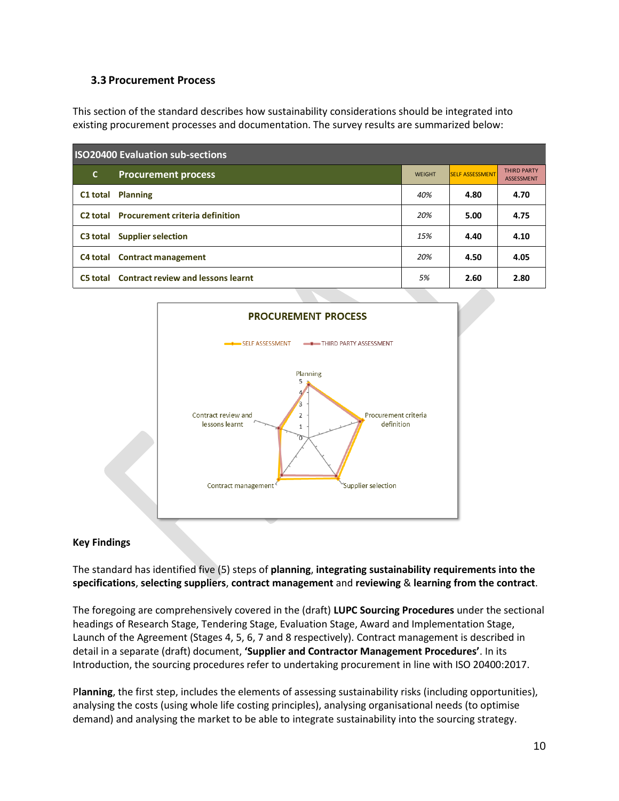#### <span id="page-15-0"></span>**3.3 Procurement Process**

This section of the standard describes how sustainability considerations should be integrated into existing procurement processes and documentation. The survey results are summarized below:

| <b>ISO20400 Evaluation sub-sections</b> |                                                      |               |                        |                                         |
|-----------------------------------------|------------------------------------------------------|---------------|------------------------|-----------------------------------------|
| C.                                      | <b>Procurement process</b>                           | <b>WEIGHT</b> | <b>SELF ASSESSMENT</b> | <b>THIRD PARTY</b><br><b>ASSESSMENT</b> |
|                                         | <b>C1 total Planning</b>                             | 40%           | 4.80                   | 4.70                                    |
|                                         | C <sub>2</sub> total Procurement criteria definition | 20%           | 5.00                   | 4.75                                    |
| C3 total                                | <b>Supplier selection</b>                            | 15%           | 4.40                   | 4.10                                    |
|                                         | C4 total Contract management                         | 20%           | 4.50                   | 4.05                                    |
| C5 total                                | <b>Contract review and lessons learnt</b>            | 5%            | 2.60                   | 2.80                                    |



#### **Key Findings**

The standard has identified five (5) steps of **planning**, **integrating sustainability requirements into the specifications**, **selecting suppliers**, **contract management** and **reviewing** & **learning from the contract**.

The foregoing are comprehensively covered in the (draft) **LUPC Sourcing Procedures** under the sectional headings of Research Stage, Tendering Stage, Evaluation Stage, Award and Implementation Stage, Launch of the Agreement (Stages 4, 5, 6, 7 and 8 respectively). Contract management is described in detail in a separate (draft) document, **'Supplier and Contractor Management Procedures'**. In its Introduction, the sourcing procedures refer to undertaking procurement in line with ISO 20400:2017.

P**lanning**, the first step, includes the elements of assessing sustainability risks (including opportunities), analysing the costs (using whole life costing principles), analysing organisational needs (to optimise demand) and analysing the market to be able to integrate sustainability into the sourcing strategy.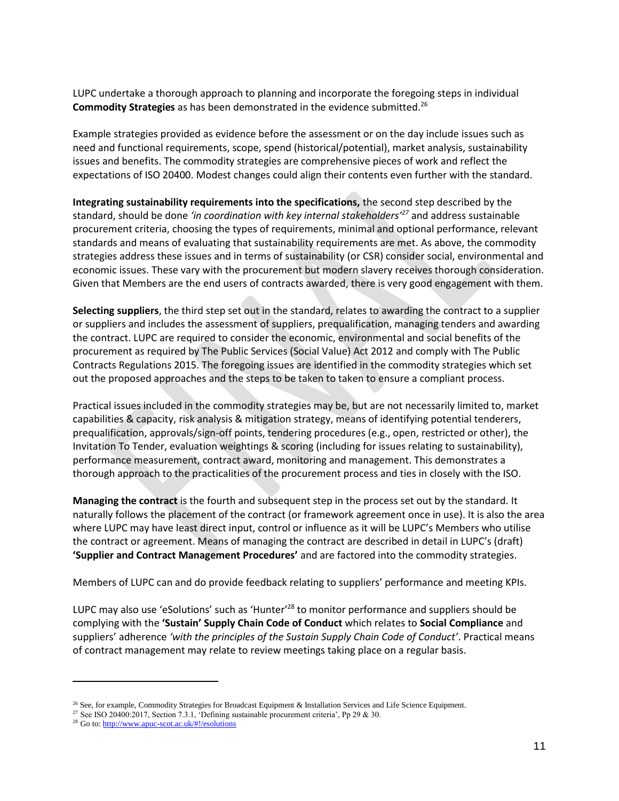LUPC undertake a thorough approach to planning and incorporate the foregoing steps in individual **Commodity Strategies** as has been demonstrated in the evidence submitted.<sup>26</sup>

Example strategies provided as evidence before the assessment or on the day include issues such as need and functional requirements, scope, spend (historical/potential), market analysis, sustainability issues and benefits. The commodity strategies are comprehensive pieces of work and reflect the expectations of ISO 20400. Modest changes could align their contents even further with the standard.

**Integrating sustainability requirements into the specifications,** the second step described by the standard, should be done *'in coordination with key internal stakeholders'<sup>27</sup>* and address sustainable procurement criteria, choosing the types of requirements, minimal and optional performance, relevant standards and means of evaluating that sustainability requirements are met. As above, the commodity strategies address these issues and in terms of sustainability (or CSR) consider social, environmental and economic issues. These vary with the procurement but modern slavery receives thorough consideration. Given that Members are the end users of contracts awarded, there is very good engagement with them.

**Selecting suppliers**, the third step set out in the standard, relates to awarding the contract to a supplier or suppliers and includes the assessment of suppliers, prequalification, managing tenders and awarding the contract. LUPC are required to consider the economic, environmental and social benefits of the procurement as required by The Public Services (Social Value) Act 2012 and comply with The Public Contracts Regulations 2015. The foregoing issues are identified in the commodity strategies which set out the proposed approaches and the steps to be taken to taken to ensure a compliant process.

Practical issues included in the commodity strategies may be, but are not necessarily limited to, market capabilities & capacity, risk analysis & mitigation strategy, means of identifying potential tenderers, prequalification, approvals/sign-off points, tendering procedures (e.g., open, restricted or other), the Invitation To Tender, evaluation weightings & scoring (including for issues relating to sustainability), performance measurement, contract award, monitoring and management. This demonstrates a thorough approach to the practicalities of the procurement process and ties in closely with the ISO.

**Managing the contract** is the fourth and subsequent step in the process set out by the standard. It naturally follows the placement of the contract (or framework agreement once in use). It is also the area where LUPC may have least direct input, control or influence as it will be LUPC's Members who utilise the contract or agreement. Means of managing the contract are described in detail in LUPC's (draft) **'Supplier and Contract Management Procedures'** and are factored into the commodity strategies.

Members of LUPC can and do provide feedback relating to suppliers' performance and meeting KPIs.

LUPC may also use 'eSolutions' such as 'Hunter'<sup>28</sup> to monitor performance and suppliers should be complying with the **'Sustain' Supply Chain Code of Conduct** which relates to **Social Compliance** and suppliers' adherence *'with the principles of the Sustain Supply Chain Code of Conduct'*. Practical means of contract management may relate to review meetings taking place on a regular basis.

 $\overline{a}$ 

<sup>&</sup>lt;sup>26</sup> See, for example, Commodity Strategies for Broadcast Equipment & Installation Services and Life Science Equipment.

<sup>27</sup> See ISO 20400:2017, Section 7.3.1, 'Defining sustainable procurement criteria', Pp 29 & 30.

<sup>28</sup> Go to[: http://www.apuc-scot.ac.uk/#!/esolutions](http://www.apuc-scot.ac.uk/#!/esolutions)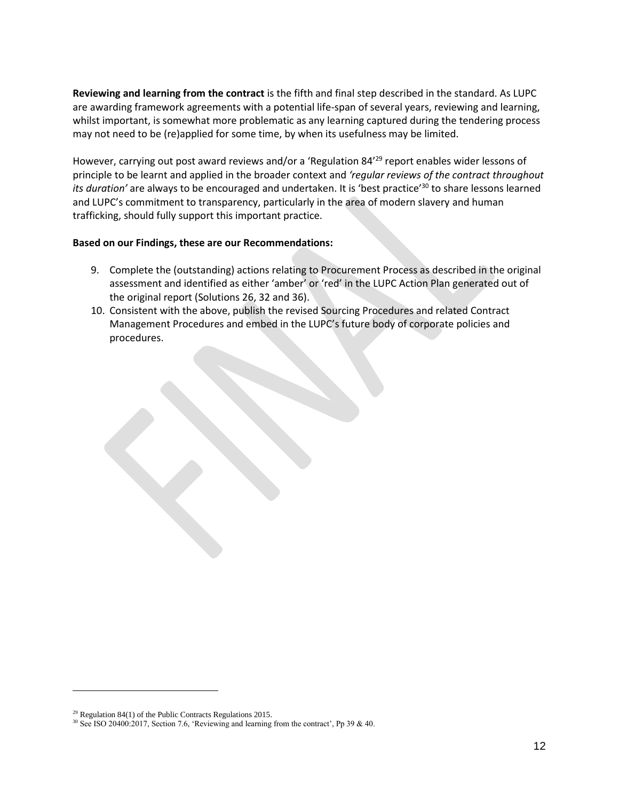**Reviewing and learning from the contract** is the fifth and final step described in the standard. As LUPC are awarding framework agreements with a potential life-span of several years, reviewing and learning, whilst important, is somewhat more problematic as any learning captured during the tendering process may not need to be (re)applied for some time, by when its usefulness may be limited.

However, carrying out post award reviews and/or a 'Regulation 84<sup>'29</sup> report enables wider lessons of principle to be learnt and applied in the broader context and *'regular reviews of the contract throughout its duration'* are always to be encouraged and undertaken. It is 'best practice'<sup>30</sup> to share lessons learned and LUPC's commitment to transparency, particularly in the area of modern slavery and human trafficking, should fully support this important practice.

#### **Based on our Findings, these are our Recommendations:**

- 9. Complete the (outstanding) actions relating to Procurement Process as described in the original assessment and identified as either 'amber' or 'red' in the LUPC Action Plan generated out of the original report (Solutions 26, 32 and 36).
- 10. Consistent with the above, publish the revised Sourcing Procedures and related Contract Management Procedures and embed in the LUPC's future body of corporate policies and procedures.

 $29$  Regulation 84(1) of the Public Contracts Regulations 2015.

<sup>30</sup> See ISO 20400:2017, Section 7.6, 'Reviewing and learning from the contract', Pp 39 & 40.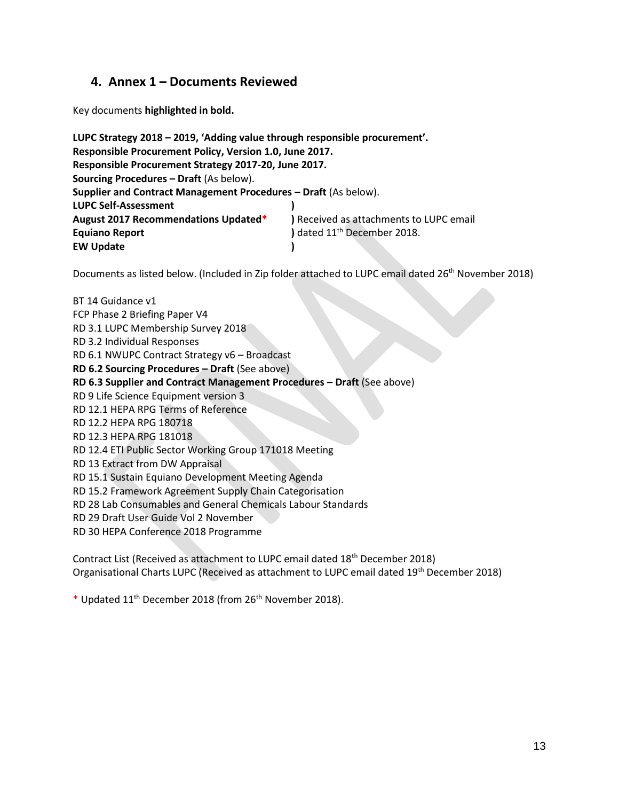## <span id="page-18-0"></span>**4. Annex 1 – Documents Reviewed**

Key documents **highlighted in bold.**

| LUPC Strategy 2018 - 2019, 'Adding value through responsible procurement'. |                                         |
|----------------------------------------------------------------------------|-----------------------------------------|
| Responsible Procurement Policy, Version 1.0, June 2017.                    |                                         |
| Responsible Procurement Strategy 2017-20, June 2017.                       |                                         |
| <b>Sourcing Procedures - Draft (As below).</b>                             |                                         |
| Supplier and Contract Management Procedures - Draft (As below).            |                                         |
| <b>LUPC Self-Assessment</b>                                                |                                         |
| August 2017 Recommendations Updated*                                       | ) Received as attachments to LUPC email |
| <b>Equiano Report</b>                                                      | ) dated 11 <sup>th</sup> December 2018. |
| <b>EW Update</b>                                                           |                                         |

Documents as listed below. (Included in Zip folder attached to LUPC email dated 26<sup>th</sup> November 2018)

```
BT 14 Guidance v1
FCP Phase 2 Briefing Paper V4
RD 3.1 LUPC Membership Survey 2018
RD 3.2 Individual Responses
RD 6.1 NWUPC Contract Strategy v6 – Broadcast
RD 6.2 Sourcing Procedures – Draft (See above)
RD 6.3 Supplier and Contract Management Procedures – Draft (See above)
RD 9 Life Science Equipment version 3
RD 12.1 HEPA RPG Terms of Reference
RD 12.2 HEPA RPG 180718
RD 12.3 HEPA RPG 181018
RD 12.4 ETI Public Sector Working Group 171018 Meeting
RD 13 Extract from DW Appraisal
RD 15.1 Sustain Equiano Development Meeting Agenda
RD 15.2 Framework Agreement Supply Chain Categorisation
RD 28 Lab Consumables and General Chemicals Labour Standards
RD 29 Draft User Guide Vol 2 November 
RD 30 HEPA Conference 2018 Programme
```
Contract List (Received as attachment to LUPC email dated 18<sup>th</sup> December 2018) Organisational Charts LUPC (Received as attachment to LUPC email dated 19th December 2018)

\* Updated 11th December 2018 (from 26th November 2018).